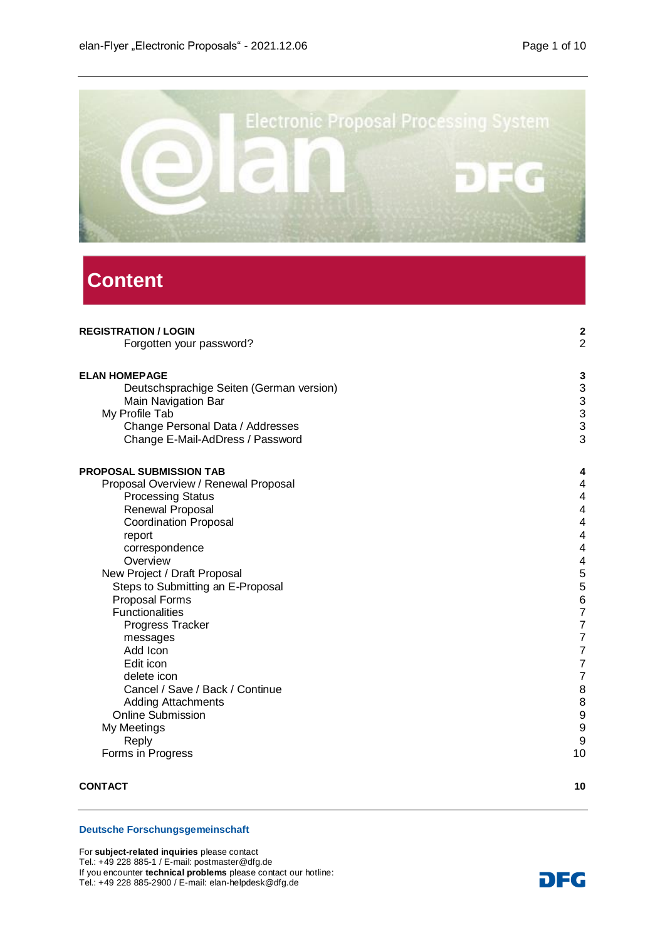

# **Content**

| <b>REGISTRATION / LOGIN</b>              | $\overline{\mathbf{c}}$                      |
|------------------------------------------|----------------------------------------------|
| Forgotten your password?                 | $\overline{c}$                               |
| <b>ELAN HOMEPAGE</b>                     | 3                                            |
| Deutschsprachige Seiten (German version) | $\begin{array}{c}\n3 \\ 3 \\ 3\n\end{array}$ |
| Main Navigation Bar                      |                                              |
| My Profile Tab                           |                                              |
| Change Personal Data / Addresses         |                                              |
| Change E-Mail-AdDress / Password         | 3                                            |
| <b>PROPOSAL SUBMISSION TAB</b>           | 4                                            |
| Proposal Overview / Renewal Proposal     | 4                                            |
| <b>Processing Status</b>                 | 4                                            |
| Renewal Proposal                         | 4                                            |
| <b>Coordination Proposal</b>             | 4                                            |
| report                                   | 4                                            |
| correspondence                           | 4                                            |
| Overview                                 | 4                                            |
| New Project / Draft Proposal             | 5                                            |
| Steps to Submitting an E-Proposal        | 5                                            |
| Proposal Forms                           | 6                                            |
| <b>Functionalities</b>                   | $\frac{7}{7}$                                |
| Progress Tracker                         |                                              |
| messages                                 | 7                                            |
| Add Icon                                 | 7                                            |
| Edit icon                                | 7                                            |
| delete icon                              | 7                                            |
| Cancel / Save / Back / Continue          | 8                                            |
| <b>Adding Attachments</b>                | 8                                            |
| <b>Online Submission</b>                 | 9                                            |
| My Meetings                              | 9                                            |
| Reply                                    | 9                                            |
| Forms in Progress                        | 10                                           |
| <b>CONTACT</b>                           | 10                                           |

#### **Deutsche Forschungsgemeinschaft**

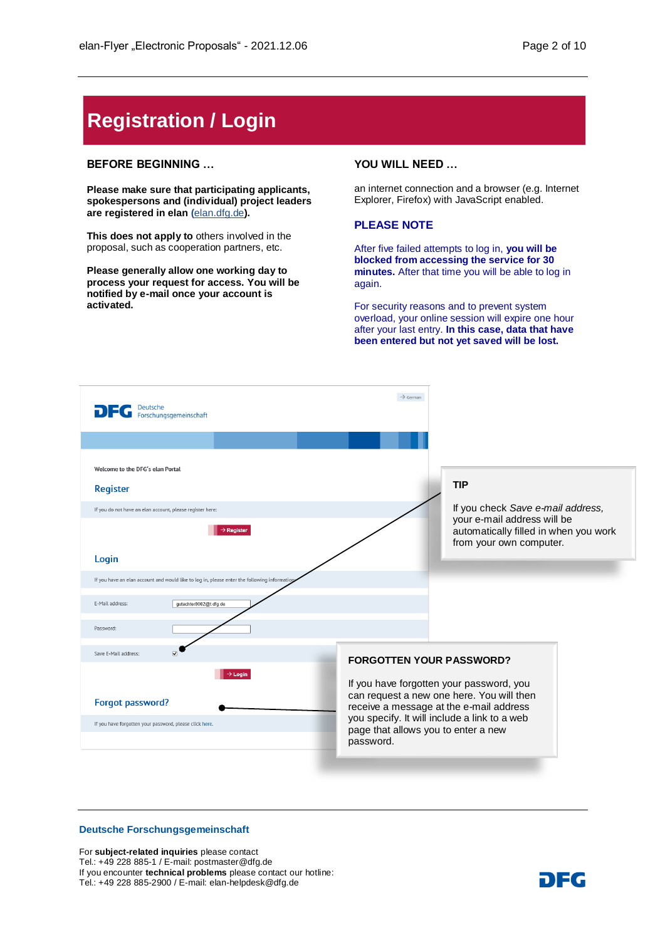# <span id="page-1-0"></span>**Registration / Login**

#### **BEFORE BEGINNING …**

**Please make sure that participating applicants, spokespersons and (individual) project leaders are registered in elan (**[elan.dfg.de](https://elan.dfg.de/dana-na/auth/url_45/welcome.cgi)**).**

**This does not apply to** others involved in the proposal, such as cooperation partners, etc.

**Please generally allow one working day to process your request for access. You will be notified by e-mail once your account is activated.**

#### **YOU WILL NEED …**

an internet connection and a browser (e.g. Internet Explorer, Firefox) with JavaScript enabled.

#### **PLEASE NOTE**

After five failed attempts to log in, **you will be blocked from accessing the service for 30 minutes.** After that time you will be able to log in again.

For security reasons and to prevent system overload, your online session will expire one hour after your last entry. **In this case, data that have been entered but not yet saved will be lost.**



#### **Deutsche Forschungsgemeinschaft**

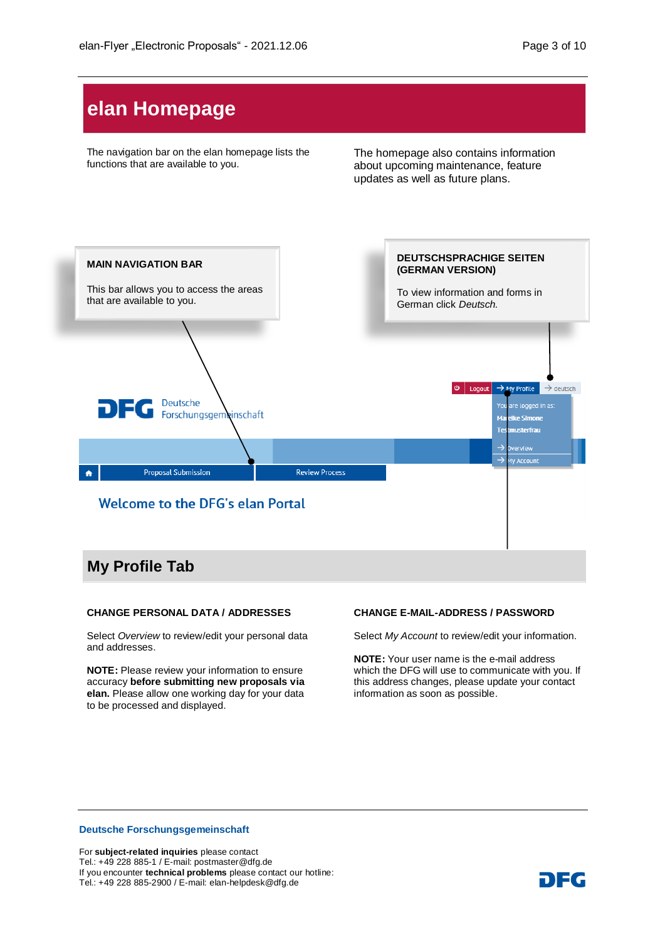# <span id="page-2-0"></span>**elan Homepage**

The navigation bar on the elan homepage lists the functions that are available to you.

The homepage also contains information about upcoming maintenance, feature updates as well as future plans.



#### <span id="page-2-2"></span><span id="page-2-1"></span>**CHANGE PERSONAL DATA / ADDRESSES**

Select *Overview* to review/edit your personal data and addresses.

**NOTE:** Please review your information to ensure accuracy **before submitting new proposals via elan.** Please allow one working day for your data to be processed and displayed.

#### <span id="page-2-3"></span>**CHANGE E-MAIL-ADDRESS / PASSWORD**

Select *My Account* to review/edit your information.

**NOTE:** Your user name is the e-mail address which the DFG will use to communicate with you. If this address changes, please update your contact information as soon as possible.

#### **Deutsche Forschungsgemeinschaft**

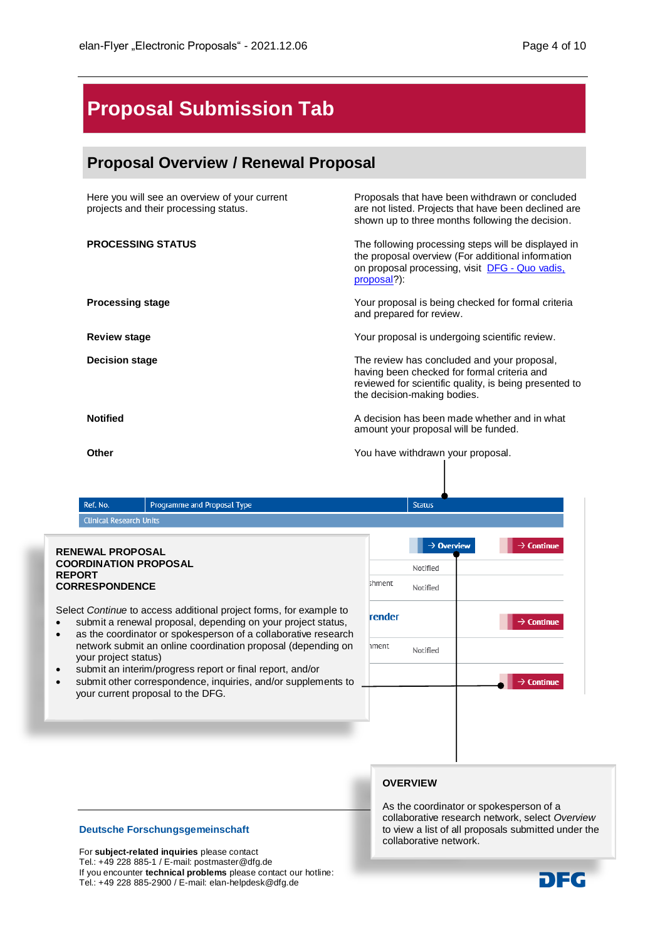# <span id="page-3-0"></span>**Proposal Submission Tab**

# <span id="page-3-1"></span>**Proposal Overview / Renewal Proposal**

Here you will see an overview of your current projects and their processing status.

Proposals that have been withdrawn or concluded are not listed. Projects that have been declined are shown up to three months following the decision.

<span id="page-3-2"></span>**PROCESSING STATUS** The following processing steps will be displayed in the proposal overview (For additional information on proposal processing, visit DFG - [Quo vadis,](http://www.dfg.de/en/research_funding/principles_dfg_funding/quo_vadis_proposal/index.html) [proposal?](http://www.dfg.de/en/research_funding/principles_dfg_funding/quo_vadis_proposal/index.html)):

**Processing stage Processing stage** *Processing stage Processing stage Processing stage Processing stage Processing stage Processing stage Processing stage Processing stage Processing sta* and prepared for review.

**Review stage** *Review stage Review stage Review stage Meview. Pour proposal is undergoing scientific review.* 

**Decision stage** The review has concluded and your proposal, having been checked for formal criteria and reviewed for scientific quality, is being presented to the decision-making bodies.

**Notified A** decision has been made whether and in what amount your proposal will be funded.

**Other Community Community Community Community Community Proposal.** You have withdrawn your proposal.

|                                         | Ref. No.                                                                                                 | Programme and Proposal Type                                                                                                                                                                                                                                                                                                                                                                                                             |                           | <b>Status</b>                                              |                                                                            |
|-----------------------------------------|----------------------------------------------------------------------------------------------------------|-----------------------------------------------------------------------------------------------------------------------------------------------------------------------------------------------------------------------------------------------------------------------------------------------------------------------------------------------------------------------------------------------------------------------------------------|---------------------------|------------------------------------------------------------|----------------------------------------------------------------------------|
|                                         | <b>Clinical Research Units</b>                                                                           |                                                                                                                                                                                                                                                                                                                                                                                                                                         |                           |                                                            |                                                                            |
| <b>REPORT</b><br>$\bullet$<br>$\bullet$ | <b>RENEWAL PROPOSAL</b><br><b>COORDINATION PROPOSAL</b><br><b>CORRESPONDENCE</b><br>your project status) | Select Continue to access additional project forms, for example to<br>submit a renewal proposal, depending on your project status,<br>as the coordinator or spokesperson of a collaborative research<br>network submit an online coordination proposal (depending on<br>submit an interim/progress report or final report, and/or<br>submit other correspondence, inquiries, and/or supplements to<br>your current proposal to the DFG. | shment<br>render<br>hment | $\rightarrow$ Overview<br>Notified<br>Notified<br>Notified | $\rightarrow$ Continue<br>$\rightarrow$ Continue<br>$\rightarrow$ Continue |

## **OVERVIEW**

**Deutsche Forschungsgemeinschaft**

For **subject-related inquiries** please contact Tel.: +49 228 885-1 / E-mail: postmaster@dfg.de If you encounter **technical problems** please contact our hotline: Tel.: +49 228 885-2900 / E-mail: elan-helpdesk@dfg.de DFG

As the coordinator or spokesperson of a collaborative research network, select *Overview* to view a list of all proposals submitted under the collaborative network.

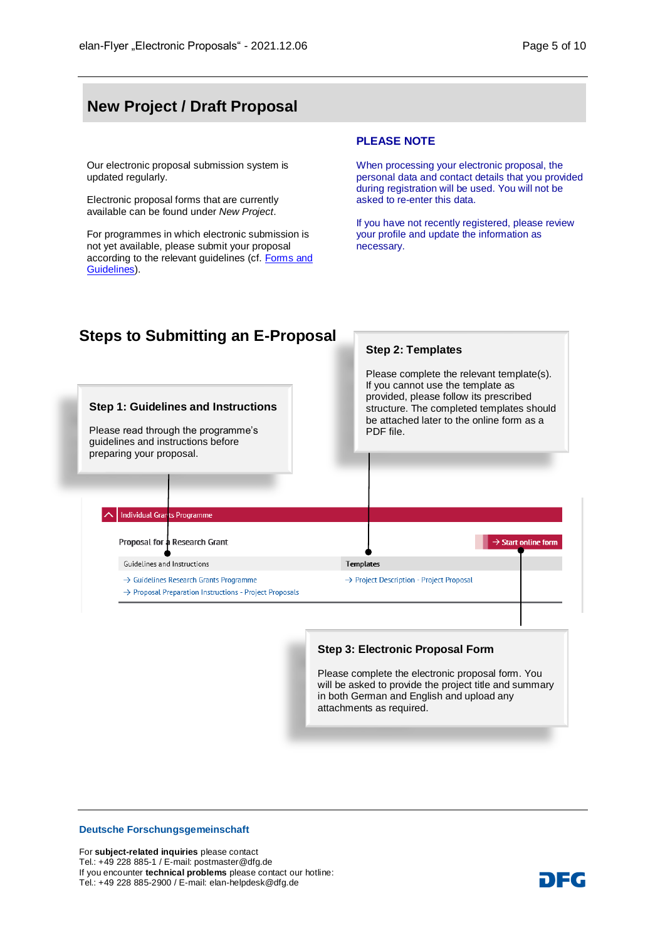# <span id="page-4-0"></span>**New Project / Draft Proposal**

Our electronic proposal submission system is updated regularly.

Electronic proposal forms that are currently available can be found under *New Project*.

For programmes in which electronic submission is not yet available, please submit your proposal according to the relevant guidelines (cf. [Forms and](http://www.dfg.de/foerderung/formulare_merkblaetter/index.jsp)  [Guidelines\)](http://www.dfg.de/foerderung/formulare_merkblaetter/index.jsp).

#### **PLEASE NOTE**

When processing your electronic proposal, the personal data and contact details that you provided during registration will be used. You will not be asked to re-enter this data.

If you have not recently registered, please review your profile and update the information as necessary.

<span id="page-4-1"></span>

#### **Step 3: Electronic Proposal Form**

Please complete the electronic proposal form. You will be asked to provide the project title and summary in both German and English and upload any attachments as required.

#### **Deutsche Forschungsgemeinschaft**

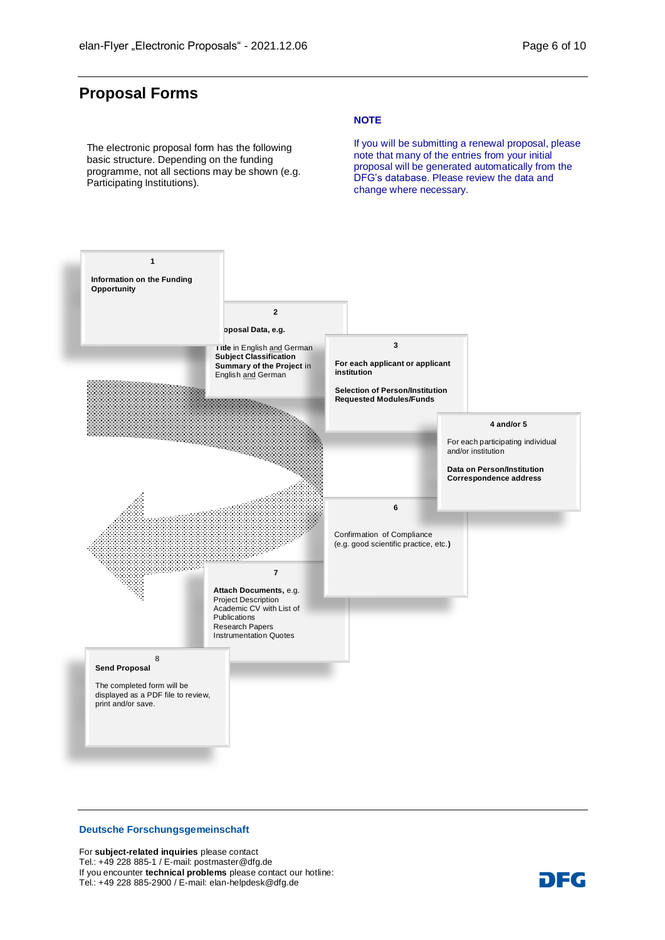# <span id="page-5-0"></span>**Proposal Forms**

The electronic proposal form has the following basic structure. Depending on the funding programme, not all sections may be shown (e.g. Participating Institutions).

#### **NOTE**

If you will be submitting a renewal proposal, please note that many of the entries from your initial proposal will be generated automatically from the DFG's database. Please review the data and change where necessary.



#### **Deutsche Forschungsgemeinschaft**

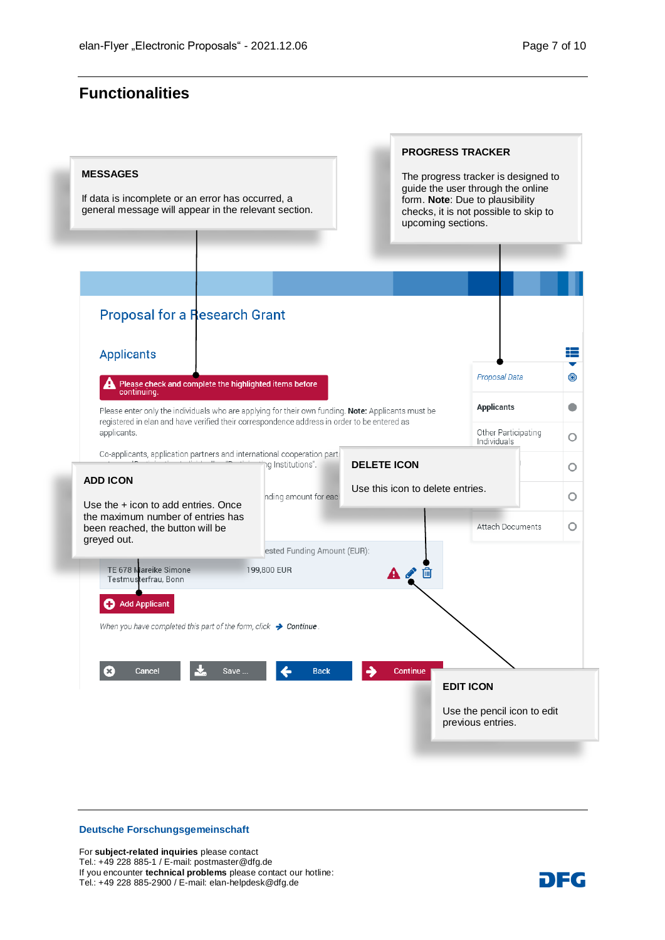# <span id="page-6-0"></span>**Functionalities**

| <b>MESSAGES</b><br>If data is incomplete or an error has occurred, a<br>general message will appear in the relevant section. |                                            | upcoming sections.               | The progress tracker is designed to<br>guide the user through the online<br>form. Note: Due to plausibility<br>checks, it is not possible to skip to |                |  |
|------------------------------------------------------------------------------------------------------------------------------|--------------------------------------------|----------------------------------|------------------------------------------------------------------------------------------------------------------------------------------------------|----------------|--|
| <b>Proposal for a Research Grant</b>                                                                                         |                                            |                                  |                                                                                                                                                      |                |  |
| <b>Applicants</b>                                                                                                            |                                            |                                  |                                                                                                                                                      | ≡              |  |
| Please check and complete the highlighted items before                                                                       |                                            |                                  | Proposal Data                                                                                                                                        | $\circledcirc$ |  |
| continuing.<br>Please enter only the individuals who are applying for their own funding. Note: Applicants must be            |                                            |                                  | <b>Applicants</b>                                                                                                                                    | 0              |  |
| registered in elan and have verified their correspondence address in order to be entered as<br>applicants.                   |                                            |                                  | Other Participating<br>Individuals                                                                                                                   | Ο              |  |
| Co-applicants, application partners and international cooperation parti                                                      | ng Institutions".                          | <b>DELETE ICON</b>               |                                                                                                                                                      | О              |  |
| <b>ADD ICON</b><br>Use the + icon to add entries. Once                                                                       | nding amount for each                      | Use this icon to delete entries. |                                                                                                                                                      | О              |  |
| the maximum number of entries has<br>been reached, the button will be<br>greyed out.                                         |                                            |                                  | <b>Attach Documents</b>                                                                                                                              | O              |  |
| TE 678 Mareike Simone<br>Testmusterfrau, Bonn                                                                                | ested Funding Amount (EUR):<br>199,800 EUR | $\mathbf{A}$                     |                                                                                                                                                      |                |  |
| <b>Add Applicant</b>                                                                                                         |                                            |                                  |                                                                                                                                                      |                |  |
| When you have completed this part of the form, click $\rightarrow$ Continue.                                                 |                                            |                                  |                                                                                                                                                      |                |  |
|                                                                                                                              |                                            |                                  |                                                                                                                                                      |                |  |
| Cancel<br>×<br>Save                                                                                                          | <b>Back</b>                                | Continue                         | <b>EDIT ICON</b>                                                                                                                                     |                |  |
|                                                                                                                              |                                            |                                  | Use the pencil icon to edit                                                                                                                          |                |  |

## **Deutsche Forschungsgemeinschaft**

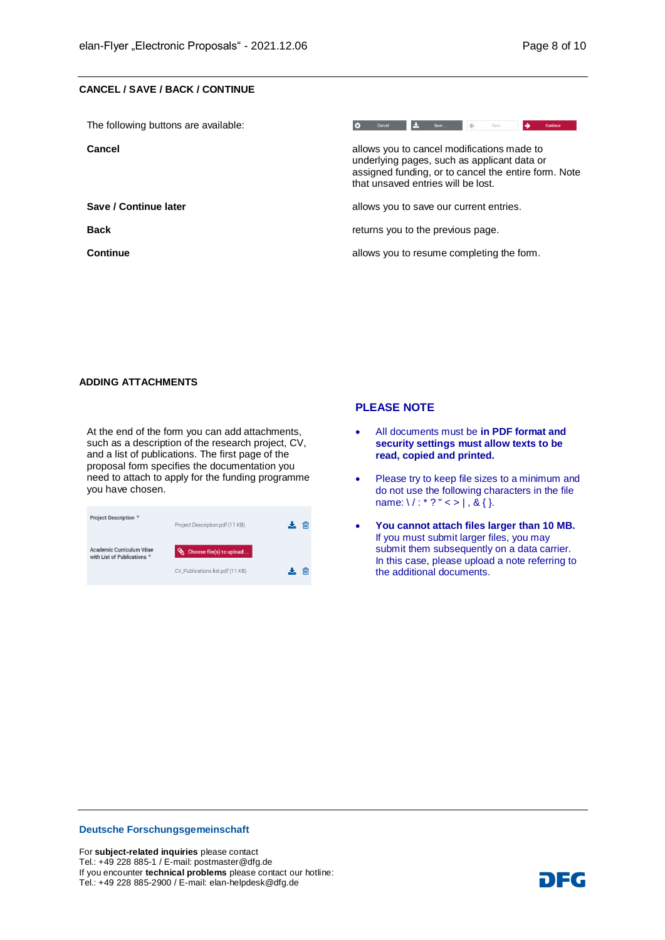#### <span id="page-7-0"></span>**CANCEL / SAVE / BACK / CONTINUE**

| The following buttons are available: | Cancel<br>Continue<br>Back                                                                                                                                                              |  |  |  |
|--------------------------------------|-----------------------------------------------------------------------------------------------------------------------------------------------------------------------------------------|--|--|--|
| Cancel                               | allows you to cancel modifications made to<br>underlying pages, such as applicant data or<br>assigned funding, or to cancel the entire form. Note<br>that unsaved entries will be lost. |  |  |  |
| Save / Continue later                | allows you to save our current entries.                                                                                                                                                 |  |  |  |
| <b>Back</b>                          | returns you to the previous page.                                                                                                                                                       |  |  |  |
| Continue                             | allows you to resume completing the form.                                                                                                                                               |  |  |  |

#### <span id="page-7-1"></span>**ADDING ATTACHMENTS**

At the end of the form you can add attachments, such as a description of the research project, CV, and a list of publications. The first page of the proposal form specifies the documentation you need to attach to apply for the funding programme you have chosen.

| <b>Project Description *</b>                                    | Project Description.pdf (11 KB)  |  |
|-----------------------------------------------------------------|----------------------------------|--|
| <b>Academic Curriculum Vitae</b><br>with List of Publications * | Choose file(s) to upload         |  |
|                                                                 | CV_Publications list.pdf (11 KB) |  |

#### **PLEASE NOTE**

- All documents must be **in PDF format and security settings must allow texts to be read, copied and printed.**
- Please try to keep file sizes to a minimum and do not use the following characters in the file name:  $\frac{1}{2}$  :  $*$  ? " < > |, & { }.
- **You cannot attach files larger than 10 MB.**  If you must submit larger files, you may submit them subsequently on a data carrier. In this case, please upload a note referring to the additional documents.

#### **Deutsche Forschungsgemeinschaft**

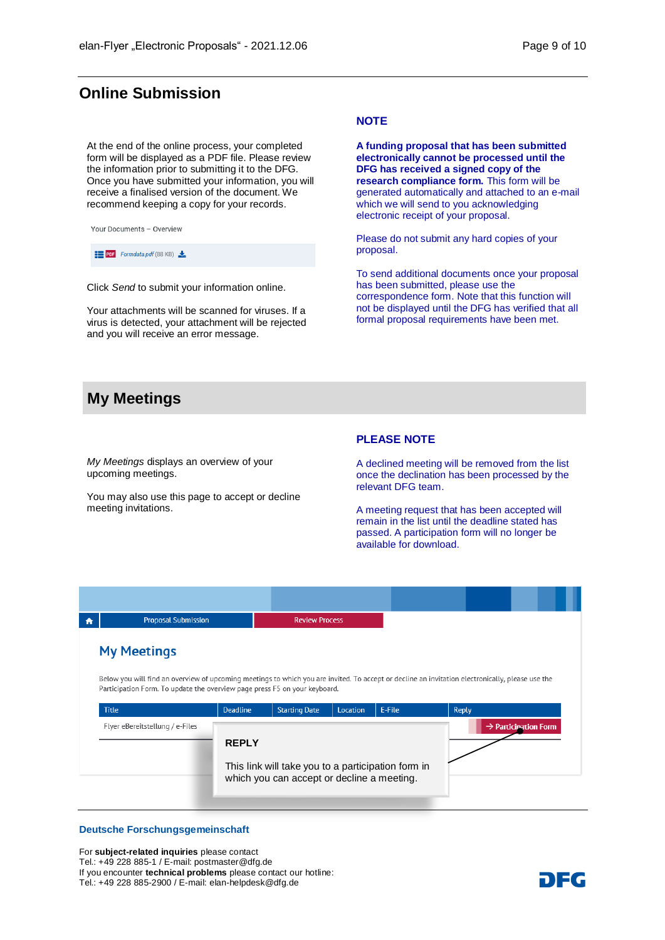## <span id="page-8-0"></span>**Online Submission**

At the end of the online process, your completed form will be displayed as a PDF file. Please review the information prior to submitting it to the DFG. Once you have submitted your information, you will receive a finalised version of the document. We recommend keeping a copy for your records.



**PDF** Formdata.pdf (88 KB)

Click *Send* to submit your information online.

Your attachments will be scanned for viruses. If a virus is detected, your attachment will be rejected and you will receive an error message.

#### **NOTE**

**A funding proposal that has been submitted electronically cannot be processed until the DFG has received a signed copy of the research compliance form.** This form will be generated automatically and attached to an e-mail which we will send to you acknowledging electronic receipt of your proposal.

Please do not submit any hard copies of your proposal.

To send additional documents once your proposal has been submitted, please use the correspondence form. Note that this function will not be displayed until the DFG has verified that all formal proposal requirements have been met.

## <span id="page-8-1"></span>**My Meetings**

*My Meetings* displays an overview of your upcoming meetings.

You may also use this page to accept or decline meeting invitations.

#### **PLEASE NOTE**

A declined meeting will be removed from the list once the declination has been processed by the relevant DFG team.

A meeting request that has been accepted will remain in the list until the deadline stated has passed. A participation form will no longer be available for download.

| Ð | <b>Proposal Submission</b>                                                                                                                                                                                                     |                                                                                                  | <b>Review Process</b> |          |        |       |                                  |  |
|---|--------------------------------------------------------------------------------------------------------------------------------------------------------------------------------------------------------------------------------|--------------------------------------------------------------------------------------------------|-----------------------|----------|--------|-------|----------------------------------|--|
|   | <b>My Meetings</b>                                                                                                                                                                                                             |                                                                                                  |                       |          |        |       |                                  |  |
|   | Below you will find an overview of upcoming meetings to which you are invited. To accept or decline an invitation electronically, please use the<br>Participation Form. To update the overview page press F5 on your keyboard. |                                                                                                  |                       |          |        |       |                                  |  |
|   | <b>Title</b>                                                                                                                                                                                                                   | <b>Deadline</b>                                                                                  | <b>Starting Date</b>  | Location | E-File | Reply |                                  |  |
|   | Flyer eBereitstellung / e-Files                                                                                                                                                                                                |                                                                                                  |                       |          |        |       | $\rightarrow$ Participation Form |  |
|   |                                                                                                                                                                                                                                | <b>REPLY</b>                                                                                     |                       |          |        |       |                                  |  |
|   |                                                                                                                                                                                                                                | This link will take you to a participation form in<br>which you can accept or decline a meeting. |                       |          |        |       |                                  |  |

#### **Deutsche Forschungsgemeinschaft**